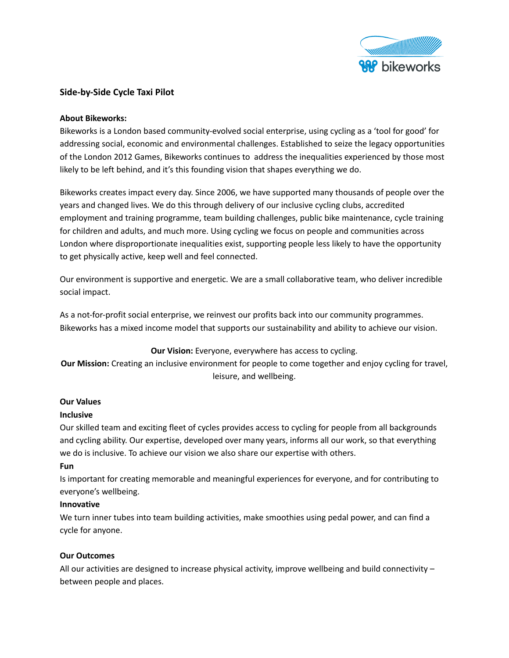

## **Side-by-Side Cycle Taxi Pilot**

## **About Bikeworks:**

Bikeworks is a London based community-evolved social enterprise, using cycling as a 'tool for good' for addressing social, economic and environmental challenges. Established to seize the legacy opportunities of the London 2012 Games, Bikeworks continues to address the inequalities experienced by those most likely to be left behind, and it's this founding vision that shapes everything we do.

Bikeworks creates impact every day. Since 2006, we have supported many thousands of people over the years and changed lives. We do this through delivery of our inclusive cycling clubs, accredited employment and training programme, team building challenges, public bike maintenance, cycle training for children and adults, and much more. Using cycling we focus on people and communities across London where disproportionate inequalities exist, supporting people less likely to have the opportunity to get physically active, keep well and feel connected.

Our environment is supportive and energetic. We are a small collaborative team, who deliver incredible social impact.

As a not-for-profit social enterprise, we reinvest our profits back into our community programmes. Bikeworks has a mixed income model that supports our sustainability and ability to achieve our vision.

## **Our Vision:** Everyone, everywhere has access to cycling.

**Our Mission:** Creating an inclusive environment for people to come together and enjoy cycling for travel, leisure, and wellbeing.

## **Our Values**

#### **Inclusive**

Our skilled team and exciting fleet of cycles provides access to cycling for people from all backgrounds and cycling ability. Our expertise, developed over many years, informs all our work, so that everything we do is inclusive. To achieve our vision we also share our expertise with others.

#### **Fun**

Is important for creating memorable and meaningful experiences for everyone, and for contributing to everyone's wellbeing.

#### **Innovative**

We turn inner tubes into team building activities, make smoothies using pedal power, and can find a cycle for anyone.

## **Our Outcomes**

All our activities are designed to increase physical activity, improve wellbeing and build connectivity – between people and places.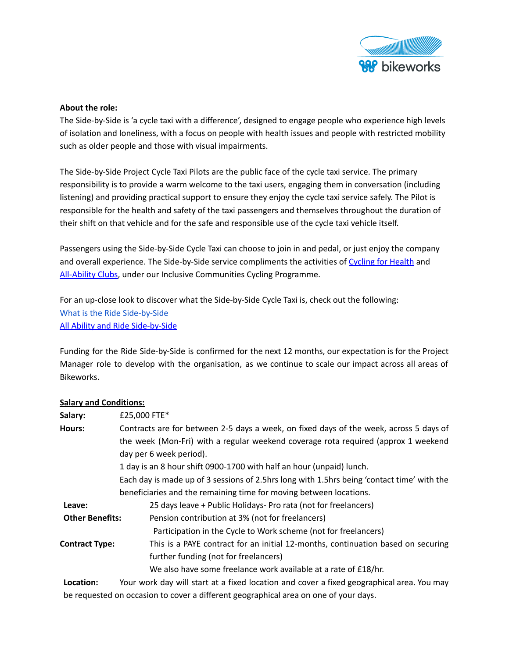

## **About the role:**

The Side-by-Side is 'a cycle taxi with a difference', designed to engage people who experience high levels of isolation and loneliness, with a focus on people with health issues and people with restricted mobility such as older people and those with visual impairments.

The Side-by-Side Project Cycle Taxi Pilots are the public face of the cycle taxi service. The primary responsibility is to provide a warm welcome to the taxi users, engaging them in conversation (including listening) and providing practical support to ensure they enjoy the cycle taxi service safely. The Pilot is responsible for the health and safety of the taxi passengers and themselves throughout the duration of their shift on that vehicle and for the safe and responsible use of the cycle taxi vehicle itself.

Passengers using the Side-by-Side Cycle Taxi can choose to join in and pedal, or just enjoy the company and overall experience. The Side-by-Side service compliments the activities of [Cycling](https://www.bikeworks.org.uk/cycing-for-wellbeing/cycling-for-wellbeing#:~:text=Cycling%20for%20Wellbeing%20is%20a,have%20experienced%20a%20bereavement%3B%20and) for Health and [All-Ability](https://www.bikeworks.org.uk/all-ability/all-ability/#1632126376112-b98adf0b-9a31) Clubs, under our Inclusive Communities Cycling Programme.

For an up-close look to discover what the Side-by-Side Cycle Taxi is, check out the following: What is the Ride [Side-by-Side](https://www.bikeworks.org.uk/cycle-taxi-service/) All Ability and Ride [Side-by-Side](https://www.youtube.com/watch?v=eCyWKALh048)

Funding for the Ride Side-by-Side is confirmed for the next 12 months, our expectation is for the Project Manager role to develop with the organisation, as we continue to scale our impact across all areas of Bikeworks.

## **Salary and Conditions:**

| Salary:                | £25,000 FTE*                                                                               |  |
|------------------------|--------------------------------------------------------------------------------------------|--|
| Hours:                 | Contracts are for between 2-5 days a week, on fixed days of the week, across 5 days of     |  |
|                        | the week (Mon-Fri) with a regular weekend coverage rota required (approx 1 weekend         |  |
|                        | day per 6 week period).                                                                    |  |
|                        | 1 day is an 8 hour shift 0900-1700 with half an hour (unpaid) lunch.                       |  |
|                        | Each day is made up of 3 sessions of 2.5hrs long with 1.5hrs being 'contact time' with the |  |
|                        | beneficiaries and the remaining time for moving between locations.                         |  |
| Leave:                 | 25 days leave + Public Holidays- Pro rata (not for freelancers)                            |  |
| <b>Other Benefits:</b> | Pension contribution at 3% (not for freelancers)                                           |  |
|                        | Participation in the Cycle to Work scheme (not for freelancers)                            |  |
| <b>Contract Type:</b>  | This is a PAYE contract for an initial 12-months, continuation based on securing           |  |
|                        | further funding (not for freelancers)                                                      |  |
|                        | We also have some freelance work available at a rate of £18/hr.                            |  |
| Location:              | Your work day will start at a fixed location and cover a fixed geographical area. You may  |  |
|                        |                                                                                            |  |

be requested on occasion to cover a different geographical area on one of your days.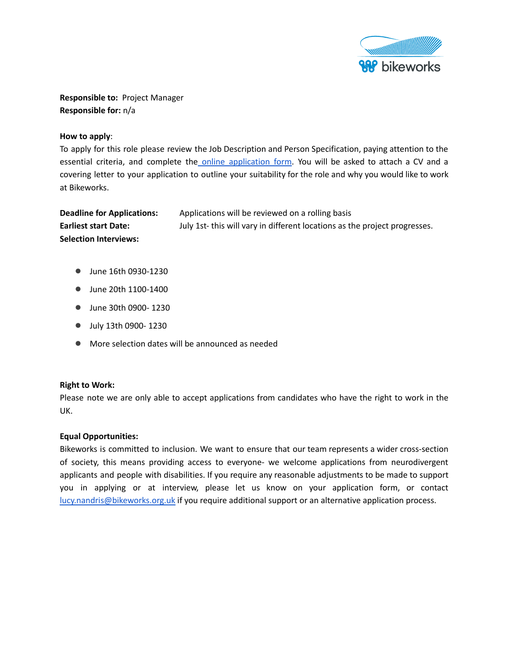

**Responsible to:** Project Manager **Responsible for:** n/a

### **How to apply**:

To apply for this role please review the Job Description and Person Specification, paying attention to the essential criteria, and complete the online [application](https://forms.gle/SWDhTbMCvVjNHMiX8) form. You will be asked to attach a CV and a covering letter to your application to outline your suitability for the role and why you would like to work at Bikeworks.

| <b>Deadline for Applications:</b> | Applications will be reviewed on a rolling basis                          |
|-----------------------------------|---------------------------------------------------------------------------|
| <b>Earliest start Date:</b>       | July 1st-this will vary in different locations as the project progresses. |
| <b>Selection Interviews:</b>      |                                                                           |

- June 16th 0930-1230
- June 20th 1100-1400
- June 30th 0900- 1230
- July 13th 0900- 1230
- More selection dates will be announced as needed

#### **Right to Work:**

Please note we are only able to accept applications from candidates who have the right to work in the UK.

## **Equal Opportunities:**

Bikeworks is committed to inclusion. We want to ensure that our team represents a wider cross-section of society, this means providing access to everyone- we welcome applications from neurodivergent applicants and people with disabilities. If you require any reasonable adjustments to be made to support you in applying or at interview, please let us know on your application form, or contact [lucy.nandris@bikeworks.org.uk](mailto:lucy.nandris@bikeworks.org.uk) if you require additional support or an alternative application process.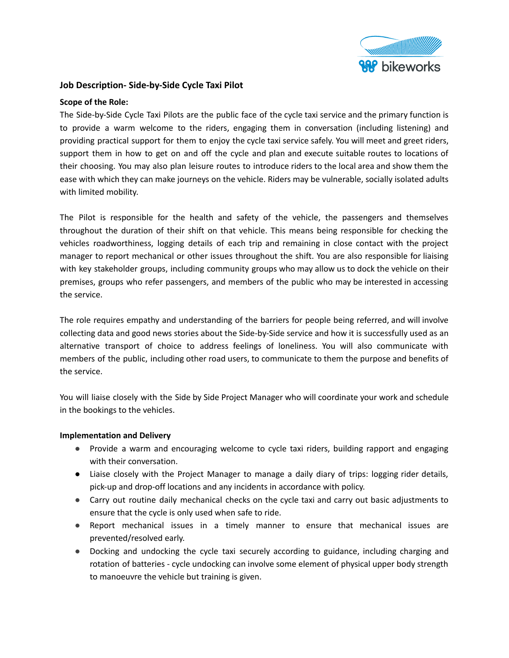

## **Job Description- Side-by-Side Cycle Taxi Pilot**

### **Scope of the Role:**

The Side-by-Side Cycle Taxi Pilots are the public face of the cycle taxi service and the primary function is to provide a warm welcome to the riders, engaging them in conversation (including listening) and providing practical support for them to enjoy the cycle taxi service safely. You will meet and greet riders, support them in how to get on and off the cycle and plan and execute suitable routes to locations of their choosing. You may also plan leisure routes to introduce riders to the local area and show them the ease with which they can make journeys on the vehicle. Riders may be vulnerable, socially isolated adults with limited mobility.

The Pilot is responsible for the health and safety of the vehicle, the passengers and themselves throughout the duration of their shift on that vehicle. This means being responsible for checking the vehicles roadworthiness, logging details of each trip and remaining in close contact with the project manager to report mechanical or other issues throughout the shift. You are also responsible for liaising with key stakeholder groups, including community groups who may allow us to dock the vehicle on their premises, groups who refer passengers, and members of the public who may be interested in accessing the service.

The role requires empathy and understanding of the barriers for people being referred, and will involve collecting data and good news stories about the Side-by-Side service and how it is successfully used as an alternative transport of choice to address feelings of loneliness. You will also communicate with members of the public, including other road users, to communicate to them the purpose and benefits of the service.

You will liaise closely with the Side by Side Project Manager who will coordinate your work and schedule in the bookings to the vehicles.

## **Implementation and Delivery**

- Provide a warm and encouraging welcome to cycle taxi riders, building rapport and engaging with their conversation.
- Liaise closely with the Project Manager to manage a daily diary of trips: logging rider details, pick-up and drop-off locations and any incidents in accordance with policy.
- Carry out routine daily mechanical checks on the cycle taxi and carry out basic adjustments to ensure that the cycle is only used when safe to ride.
- Report mechanical issues in a timely manner to ensure that mechanical issues are prevented/resolved early.
- Docking and undocking the cycle taxi securely according to guidance, including charging and rotation of batteries - cycle undocking can involve some element of physical upper body strength to manoeuvre the vehicle but training is given.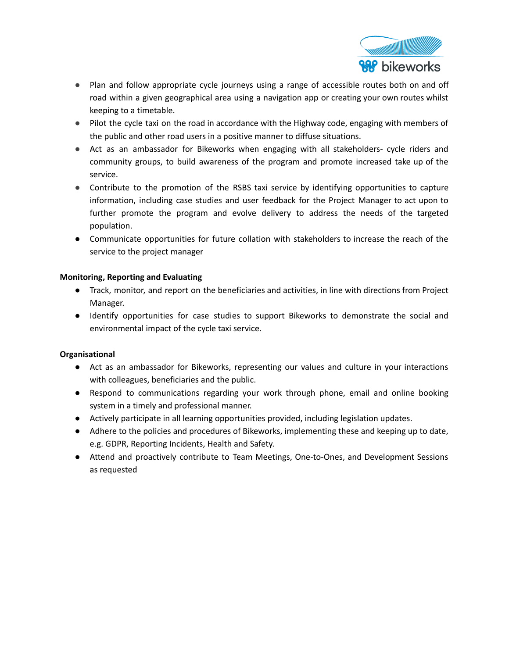

- Plan and follow appropriate cycle journeys using a range of accessible routes both on and off road within a given geographical area using a navigation app or creating your own routes whilst keeping to a timetable.
- Pilot the cycle taxi on the road in accordance with the Highway code, engaging with members of the public and other road users in a positive manner to diffuse situations.
- Act as an ambassador for Bikeworks when engaging with all stakeholders- cycle riders and community groups, to build awareness of the program and promote increased take up of the service.
- Contribute to the promotion of the RSBS taxi service by identifying opportunities to capture information, including case studies and user feedback for the Project Manager to act upon to further promote the program and evolve delivery to address the needs of the targeted population.
- Communicate opportunities for future collation with stakeholders to increase the reach of the service to the project manager

## **Monitoring, Reporting and Evaluating**

- Track, monitor, and report on the beneficiaries and activities, in line with directions from Project Manager.
- Identify opportunities for case studies to support Bikeworks to demonstrate the social and environmental impact of the cycle taxi service.

# **Organisational**

- Act as an ambassador for Bikeworks, representing our values and culture in your interactions with colleagues, beneficiaries and the public.
- Respond to communications regarding your work through phone, email and online booking system in a timely and professional manner.
- Actively participate in all learning opportunities provided, including legislation updates.
- Adhere to the policies and procedures of Bikeworks, implementing these and keeping up to date, e.g. GDPR, Reporting Incidents, Health and Safety.
- Attend and proactively contribute to Team Meetings, One-to-Ones, and Development Sessions as requested